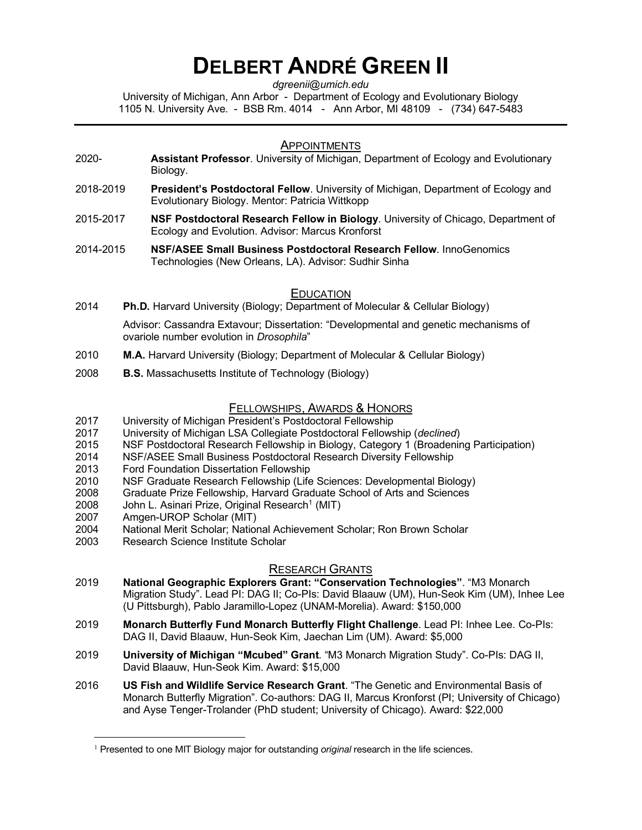# **DELBERT ANDRÉ GREEN II**

*dgreenii@umich.edu*

University of Michigan, Ann Arbor - Department of Ecology and Evolutionary Biology 1105 N. University Ave. - BSB Rm. 4014 - Ann Arbor, MI 48109 - (734) 647-5483

#### **APPOINTMENTS**

- 2020- **Assistant Professor**. University of Michigan, Department of Ecology and Evolutionary Biology.
- 2018-2019 **President's Postdoctoral Fellow**. University of Michigan, Department of Ecology and Evolutionary Biology. Mentor: Patricia Wittkopp
- 2015-2017 **NSF Postdoctoral Research Fellow in Biology**. University of Chicago, Department of Ecology and Evolution. Advisor: Marcus Kronforst
- 2014-2015 **NSF/ASEE Small Business Postdoctoral Research Fellow**. InnoGenomics Technologies (New Orleans, LA). Advisor: Sudhir Sinha

## EDUCATION

2014 **Ph.D.** Harvard University (Biology; Department of Molecular & Cellular Biology)

 Advisor: Cassandra Extavour; Dissertation: "Developmental and genetic mechanisms of ovariole number evolution in *Drosophila*"

- 2010 **M.A.** Harvard University (Biology; Department of Molecular & Cellular Biology)
- 2008 **B.S.** Massachusetts Institute of Technology (Biology)

## FELLOWSHIPS, AWARDS & HONORS

- 2017 University of Michigan President's Postdoctoral Fellowship
- 2017 University of Michigan LSA Collegiate Postdoctoral Fellowship (*declined*)
- 2015 NSF Postdoctoral Research Fellowship in Biology, Category 1 (Broadening Participation)
- 2014 NSF/ASEE Small Business Postdoctoral Research Diversity Fellowship<br>2013 Ford Foundation Dissertation Fellowship
- **Ford Foundation Dissertation Fellowship**
- 2010 NSF Graduate Research Fellowship (Life Sciences: Developmental Biology)
- 2008 Graduate Prize Fellowship, Harvard Graduate School of Arts and Sciences
- 2008 John L. Asinari Prize, Original Research<sup>1</sup> (MIT)
- 2007 Amgen-UROP Scholar (MIT)
- 2004 National Merit Scholar; National Achievement Scholar; Ron Brown Scholar
- 2003 Research Science Institute Scholar

## RESEARCH GRANTS

- 2019 **National Geographic Explorers Grant: "Conservation Technologies"**. "M3 Monarch Migration Study". Lead PI: DAG II; Co-PIs: David Blaauw (UM), Hun-Seok Kim (UM), Inhee Lee (U Pittsburgh), Pablo Jaramillo-Lopez (UNAM-Morelia). Award: \$150,000
- 2019 **Monarch Butterfly Fund Monarch Butterfly Flight Challenge**. Lead PI: Inhee Lee. Co-PIs: DAG II, David Blaauw, Hun-Seok Kim, Jaechan Lim (UM). Award: \$5,000
- 2019 **University of Michigan "Mcubed" Grant**. "M3 Monarch Migration Study". Co-PIs: DAG II, David Blaauw, Hun-Seok Kim. Award: \$15,000
- 2016 **US Fish and Wildlife Service Research Grant**. "The Genetic and Environmental Basis of Monarch Butterfly Migration". Co-authors: DAG II, Marcus Kronforst (PI; University of Chicago) and Ayse Tenger-Trolander (PhD student; University of Chicago). Award: \$22,000

<sup>&</sup>lt;sup>1</sup> Presented to one MIT Biology major for outstanding *original* research in the life sciences.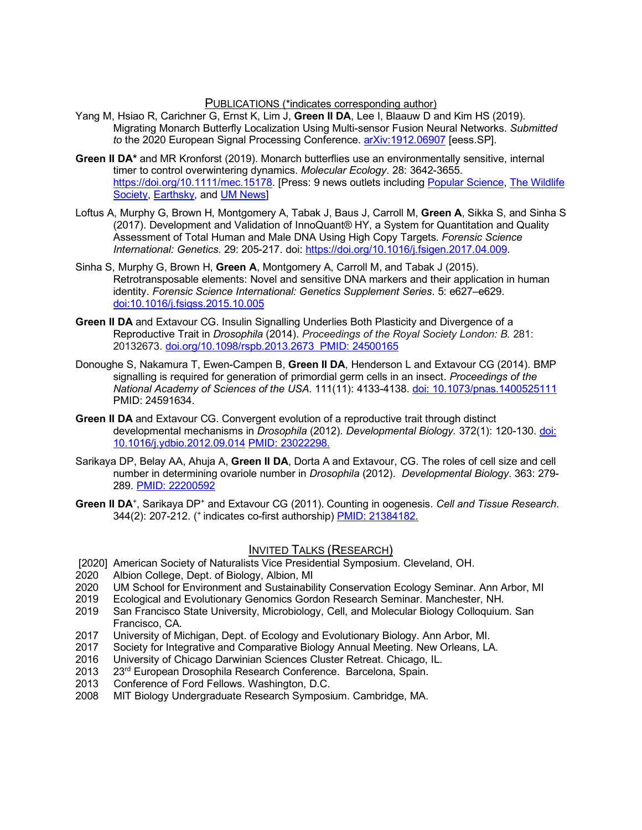PUBLICATIONS (\*indicates corresponding author)

- Yang M, Hsiao R, Carichner G, Ernst K, Lim J, **Green II DA**, Lee I, Blaauw D and Kim HS (2019). Migrating Monarch Butterfly Localization Using Multi-sensor Fusion Neural Networks. *Submitted to* the 2020 European Signal Processing Conference. arXiv:1912.06907 [eess.SP].
- **Green II DA\*** and MR Kronforst (2019). Monarch butterflies use an environmentally sensitive, internal timer to control overwintering dynamics. *Molecular Ecology*. 28: 3642-3655. https://doi.org/10.1111/mec.15178. [Press: 9 news outlets including Popular Science, The Wildlife Society, Earthsky, and UM News
- Loftus A, Murphy G, Brown H, Montgomery A, Tabak J, Baus J, Carroll M, **Green A**, Sikka S, and Sinha S (2017). Development and Validation of InnoQuant® HY, a System for Quantitation and Quality Assessment of Total Human and Male DNA Using High Copy Targets. *Forensic Science International: Genetics*. 29: 205-217. doi: https://doi.org/10.1016/j.fsigen.2017.04.009.
- Sinha S, Murphy G, Brown H, **Green A**, Montgomery A, Carroll M, and Tabak J (2015). Retrotransposable elements: Novel and sensitive DNA markers and their application in human identity. *Forensic Science International: Genetics Supplement Series*. 5: e627–e629. doi:10.1016/j.fsigss.2015.10.005
- **Green II DA** and Extavour CG. Insulin Signalling Underlies Both Plasticity and Divergence of a Reproductive Trait in *Drosophila* (2014). *Proceedings of the Royal Society London: B.* 281: 20132673. doi.org/10.1098/rspb.2013.2673 PMID: 24500165
- Donoughe S, Nakamura T, Ewen-Campen B, **Green II DA**, Henderson L and Extavour CG (2014). BMP signalling is required for generation of primordial germ cells in an insect. *Proceedings of the National Academy of Sciences of the USA.* 111(11): 4133-4138. doi: 10.1073/pnas.1400525111 PMID: 24591634.
- **Green II DA** and Extavour CG. Convergent evolution of a reproductive trait through distinct developmental mechanisms in *Drosophila* (2012)*. Developmental Biology.* 372(1): 120-130. doi: 10.1016/j.ydbio.2012.09.014 PMID: 23022298.
- Sarikaya DP, Belay AA, Ahuja A, **Green II DA**, Dorta A and Extavour, CG. The roles of cell size and cell number in determining ovariole number in *Drosophila* (2012). *Developmental Biology*. 363: 279- 289. PMID: 22200592
- Green II DA<sup>+</sup>, Sarikaya DP<sup>+</sup> and Extavour CG (2011). Counting in oogenesis. Cell and Tissue Research. 344(2): 207-212. (+ indicates co-first authorship) PMID: 21384182.

## INVITED TALKS (RESEARCH)

- [2020] American Society of Naturalists Vice Presidential Symposium. Cleveland, OH.
- 2020 Albion College, Dept. of Biology, Albion, MI
- 2020 UM School for Environment and Sustainability Conservation Ecology Seminar. Ann Arbor, MI<br>2019 Ecological and Evolutionary Genomics Gordon Research Seminar. Manchester, NH.
- Ecological and Evolutionary Genomics Gordon Research Seminar. Manchester, NH.
- 2019 San Francisco State University, Microbiology, Cell, and Molecular Biology Colloquium. San Francisco, CA.
- 2017 University of Michigan, Dept. of Ecology and Evolutionary Biology. Ann Arbor, MI.
- 2017 Society for Integrative and Comparative Biology Annual Meeting. New Orleans, LA.
- 2016 University of Chicago Darwinian Sciences Cluster Retreat. Chicago, IL.
- 2013 23<sup>rd</sup> European Drosophila Research Conference. Barcelona, Spain.
- 2013 Conference of Ford Fellows. Washington, D.C.
- 2008 MIT Biology Undergraduate Research Symposium. Cambridge, MA.